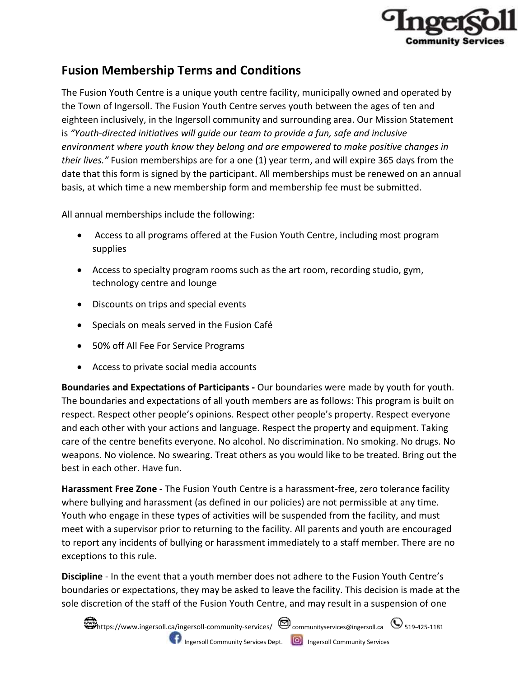

## **Fusion Membership Terms and Conditions**

The Fusion Youth Centre is a unique youth centre facility, municipally owned and operated by the Town of Ingersoll. The Fusion Youth Centre serves youth between the ages of ten and eighteen inclusively, in the Ingersoll community and surrounding area. Our Mission Statement is *"Youth-directed initiatives will guide our team to provide a fun, safe and inclusive environment where youth know they belong and are empowered to make positive changes in their lives."* Fusion memberships are for a one (1) year term, and will expire 365 days from the date that this form is signed by the participant. All memberships must be renewed on an annual basis, at which time a new membership form and membership fee must be submitted.

All annual memberships include the following:

- Access to all programs offered at the Fusion Youth Centre, including most program supplies
- Access to specialty program rooms such as the art room, recording studio, gym, technology centre and lounge
- Discounts on trips and special events
- Specials on meals served in the Fusion Café
- 50% off All Fee For Service Programs
- Access to private social media accounts

**Boundaries and Expectations of Participants -** Our boundaries were made by youth for youth. The boundaries and expectations of all youth members are as follows: This program is built on respect. Respect other people's opinions. Respect other people's property. Respect everyone and each other with your actions and language. Respect the property and equipment. Taking care of the centre benefits everyone. No alcohol. No discrimination. No smoking. No drugs. No weapons. No violence. No swearing. Treat others as you would like to be treated. Bring out the best in each other. Have fun.

**Harassment Free Zone -** The Fusion Youth Centre is a harassment-free, zero tolerance facility where bullying and harassment (as defined in our policies) are not permissible at any time. Youth who engage in these types of activities will be suspended from the facility, and must meet with a supervisor prior to returning to the facility. All parents and youth are encouraged to report any incidents of bullying or harassment immediately to a staff member. There are no exceptions to this rule.

**Discipline** - In the event that a youth member does not adhere to the Fusion Youth Centre's boundaries or expectations, they may be asked to leave the facility. This decision is made at the sole discretion of the staff of the Fusion Youth Centre, and may result in a suspension of one

 $\bullet$ https://www.ingersoll.ca/ingersoll-community-services/  $\bullet$  communityservices@ingersoll.ca  $\bullet$  519-425-1181 **IF Ingersoll Community Services Dept. ID** Ingersoll Community Services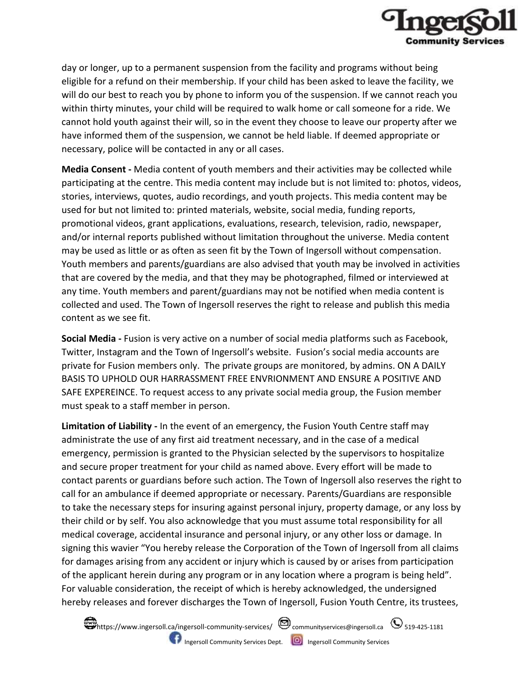

day or longer, up to a permanent suspension from the facility and programs without being eligible for a refund on their membership. If your child has been asked to leave the facility, we will do our best to reach you by phone to inform you of the suspension. If we cannot reach you within thirty minutes, your child will be required to walk home or call someone for a ride. We cannot hold youth against their will, so in the event they choose to leave our property after we have informed them of the suspension, we cannot be held liable. If deemed appropriate or necessary, police will be contacted in any or all cases.

**Media Consent -** Media content of youth members and their activities may be collected while participating at the centre. This media content may include but is not limited to: photos, videos, stories, interviews, quotes, audio recordings, and youth projects. This media content may be used for but not limited to: printed materials, website, social media, funding reports, promotional videos, grant applications, evaluations, research, television, radio, newspaper, and/or internal reports published without limitation throughout the universe. Media content may be used as little or as often as seen fit by the Town of Ingersoll without compensation. Youth members and parents/guardians are also advised that youth may be involved in activities that are covered by the media, and that they may be photographed, filmed or interviewed at any time. Youth members and parent/guardians may not be notified when media content is collected and used. The Town of Ingersoll reserves the right to release and publish this media content as we see fit.

**Social Media -** Fusion is very active on a number of social media platforms such as Facebook, Twitter, Instagram and the Town of Ingersoll's website. Fusion's social media accounts are private for Fusion members only. The private groups are monitored, by admins. ON A DAILY BASIS TO UPHOLD OUR HARRASSMENT FREE ENVRIONMENT AND ENSURE A POSITIVE AND SAFE EXPEREINCE. To request access to any private social media group, the Fusion member must speak to a staff member in person.

**Limitation of Liability -** In the event of an emergency, the Fusion Youth Centre staff may administrate the use of any first aid treatment necessary, and in the case of a medical emergency, permission is granted to the Physician selected by the supervisors to hospitalize and secure proper treatment for your child as named above. Every effort will be made to contact parents or guardians before such action. The Town of Ingersoll also reserves the right to call for an ambulance if deemed appropriate or necessary. Parents/Guardians are responsible to take the necessary steps for insuring against personal injury, property damage, or any loss by their child or by self. You also acknowledge that you must assume total responsibility for all medical coverage, accidental insurance and personal injury, or any other loss or damage. In signing this wavier "You hereby release the Corporation of the Town of Ingersoll from all claims for damages arising from any accident or injury which is caused by or arises from participation of the applicant herein during any program or in any location where a program is being held". For valuable consideration, the receipt of which is hereby acknowledged, the undersigned hereby releases and forever discharges the Town of Ingersoll, Fusion Youth Centre, its trustees,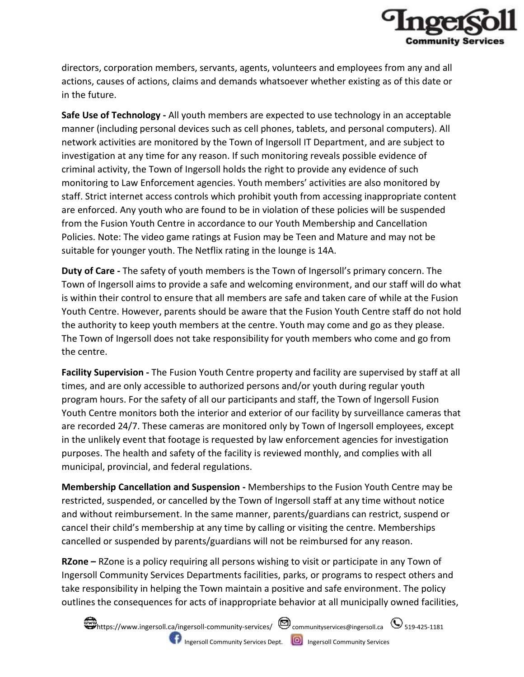

directors, corporation members, servants, agents, volunteers and employees from any and all actions, causes of actions, claims and demands whatsoever whether existing as of this date or in the future.

**Safe Use of Technology -** All youth members are expected to use technology in an acceptable manner (including personal devices such as cell phones, tablets, and personal computers). All network activities are monitored by the Town of Ingersoll IT Department, and are subject to investigation at any time for any reason. If such monitoring reveals possible evidence of criminal activity, the Town of Ingersoll holds the right to provide any evidence of such monitoring to Law Enforcement agencies. Youth members' activities are also monitored by staff. Strict internet access controls which prohibit youth from accessing inappropriate content are enforced. Any youth who are found to be in violation of these policies will be suspended from the Fusion Youth Centre in accordance to our Youth Membership and Cancellation Policies. Note: The video game ratings at Fusion may be Teen and Mature and may not be suitable for younger youth. The Netflix rating in the lounge is 14A.

**Duty of Care -** The safety of youth members is the Town of Ingersoll's primary concern. The Town of Ingersoll aims to provide a safe and welcoming environment, and our staff will do what is within their control to ensure that all members are safe and taken care of while at the Fusion Youth Centre. However, parents should be aware that the Fusion Youth Centre staff do not hold the authority to keep youth members at the centre. Youth may come and go as they please. The Town of Ingersoll does not take responsibility for youth members who come and go from the centre.

**Facility Supervision -** The Fusion Youth Centre property and facility are supervised by staff at all times, and are only accessible to authorized persons and/or youth during regular youth program hours. For the safety of all our participants and staff, the Town of Ingersoll Fusion Youth Centre monitors both the interior and exterior of our facility by surveillance cameras that are recorded 24/7. These cameras are monitored only by Town of Ingersoll employees, except in the unlikely event that footage is requested by law enforcement agencies for investigation purposes. The health and safety of the facility is reviewed monthly, and complies with all municipal, provincial, and federal regulations.

**Membership Cancellation and Suspension -** Memberships to the Fusion Youth Centre may be restricted, suspended, or cancelled by the Town of Ingersoll staff at any time without notice and without reimbursement. In the same manner, parents/guardians can restrict, suspend or cancel their child's membership at any time by calling or visiting the centre. Memberships cancelled or suspended by parents/guardians will not be reimbursed for any reason.

**RZone –** RZone is a policy requiring all persons wishing to visit or participate in any Town of Ingersoll Community Services Departments facilities, parks, or programs to respect others and take responsibility in helping the Town maintain a positive and safe environment. The policy outlines the consequences for acts of inappropriate behavior at all municipally owned facilities,